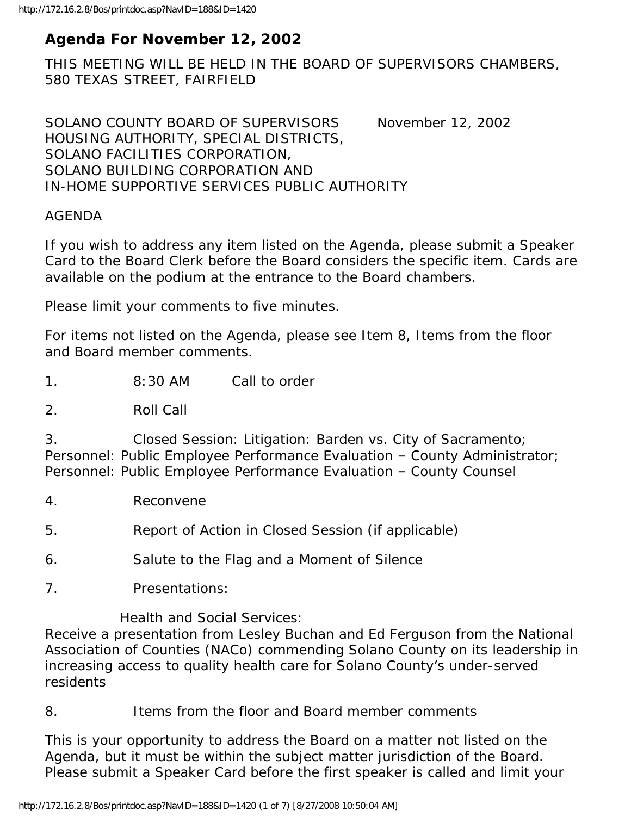# **Agenda For November 12, 2002**

THIS MEETING WILL BE HELD IN THE BOARD OF SUPERVISORS CHAMBERS, 580 TEXAS STREET, FAIRFIELD

SOLANO COUNTY BOARD OF SUPERVISORS November 12, 2002 HOUSING AUTHORITY, SPECIAL DISTRICTS, SOLANO FACILITIES CORPORATION, SOLANO BUILDING CORPORATION AND IN-HOME SUPPORTIVE SERVICES PUBLIC AUTHORITY

#### AGENDA

If you wish to address any item listed on the Agenda, please submit a Speaker Card to the Board Clerk before the Board considers the specific item. Cards are available on the podium at the entrance to the Board chambers.

Please limit your comments to five minutes.

For items not listed on the Agenda, please see Item 8, Items from the floor and Board member comments.

1. 8:30 AM Call to order

2. Roll Call

3. Closed Session: Litigation: Barden vs. City of Sacramento; Personnel: Public Employee Performance Evaluation – County Administrator; Personnel: Public Employee Performance Evaluation – County Counsel

4. Reconvene

5. Report of Action in Closed Session (if applicable)

6. Salute to the Flag and a Moment of Silence

7. Presentations:

Health and Social Services:

Receive a presentation from Lesley Buchan and Ed Ferguson from the National Association of Counties (NACo) commending Solano County on its leadership in increasing access to quality health care for Solano County's under-served residents

8. Items from the floor and Board member comments

This is your opportunity to address the Board on a matter not listed on the Agenda, but it must be within the subject matter jurisdiction of the Board. Please submit a Speaker Card before the first speaker is called and limit your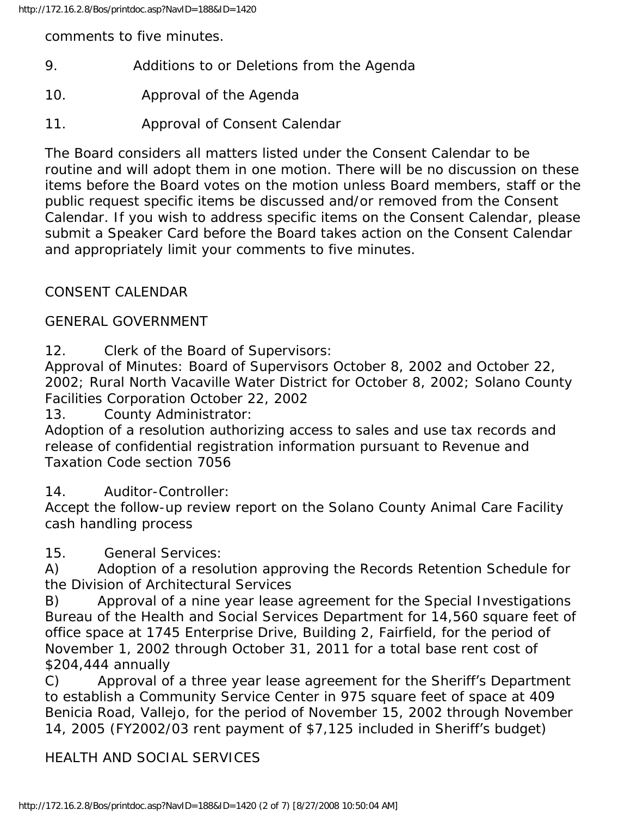comments to five minutes.

- 9. Additions to or Deletions from the Agenda
- 10. Approval of the Agenda
- 11. Approval of Consent Calendar

The Board considers all matters listed under the Consent Calendar to be routine and will adopt them in one motion. There will be no discussion on these items before the Board votes on the motion unless Board members, staff or the public request specific items be discussed and/or removed from the Consent Calendar. If you wish to address specific items on the Consent Calendar, please submit a Speaker Card before the Board takes action on the Consent Calendar and appropriately limit your comments to five minutes.

## CONSENT CALENDAR

## GENERAL GOVERNMENT

12. Clerk of the Board of Supervisors:

Approval of Minutes: Board of Supervisors October 8, 2002 and October 22, 2002; Rural North Vacaville Water District for October 8, 2002; Solano County Facilities Corporation October 22, 2002

13. County Administrator:

Adoption of a resolution authorizing access to sales and use tax records and release of confidential registration information pursuant to Revenue and Taxation Code section 7056

14. Auditor-Controller:

Accept the follow-up review report on the Solano County Animal Care Facility cash handling process

15. General Services:

A) Adoption of a resolution approving the Records Retention Schedule for the Division of Architectural Services

B) Approval of a nine year lease agreement for the Special Investigations Bureau of the Health and Social Services Department for 14,560 square feet of office space at 1745 Enterprise Drive, Building 2, Fairfield, for the period of November 1, 2002 through October 31, 2011 for a total base rent cost of \$204,444 annually

C) Approval of a three year lease agreement for the Sheriff's Department to establish a Community Service Center in 975 square feet of space at 409 Benicia Road, Vallejo, for the period of November 15, 2002 through November 14, 2005 (FY2002/03 rent payment of \$7,125 included in Sheriff's budget)

## HEALTH AND SOCIAL SERVICES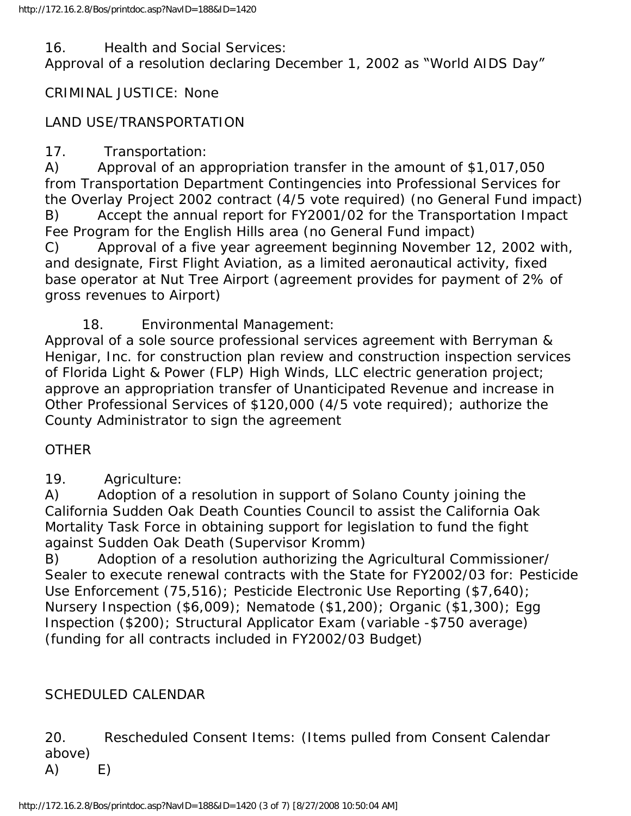16. Health and Social Services: Approval of a resolution declaring December 1, 2002 as "World AIDS Day"

#### CRIMINAL JUSTICE: None

#### LAND USE/TRANSPORTATION

17. Transportation:

A) Approval of an appropriation transfer in the amount of \$1,017,050 from Transportation Department Contingencies into Professional Services for the Overlay Project 2002 contract (4/5 vote required) (no General Fund impact) B) Accept the annual report for FY2001/02 for the Transportation Impact

Fee Program for the English Hills area (no General Fund impact) C) Approval of a five year agreement beginning November 12, 2002 with, and designate, First Flight Aviation, as a limited aeronautical activity, fixed base operator at Nut Tree Airport (agreement provides for payment of 2% of gross revenues to Airport)

18. Environmental Management:

Approval of a sole source professional services agreement with Berryman & Henigar, Inc. for construction plan review and construction inspection services of Florida Light & Power (FLP) High Winds, LLC electric generation project; approve an appropriation transfer of Unanticipated Revenue and increase in Other Professional Services of \$120,000 (4/5 vote required); authorize the County Administrator to sign the agreement

## **OTHER**

19. Agriculture:

A) Adoption of a resolution in support of Solano County joining the California Sudden Oak Death Counties Council to assist the California Oak Mortality Task Force in obtaining support for legislation to fund the fight against Sudden Oak Death (Supervisor Kromm)

B) Adoption of a resolution authorizing the Agricultural Commissioner/ Sealer to execute renewal contracts with the State for FY2002/03 for: Pesticide Use Enforcement (75,516); Pesticide Electronic Use Reporting (\$7,640); Nursery Inspection (\$6,009); Nematode (\$1,200); Organic (\$1,300); Egg Inspection (\$200); Structural Applicator Exam (variable -\$750 average) (funding for all contracts included in FY2002/03 Budget)

## SCHEDULED CALENDAR

20. Rescheduled Consent Items: (Items pulled from Consent Calendar above)  $(A)$   $E)$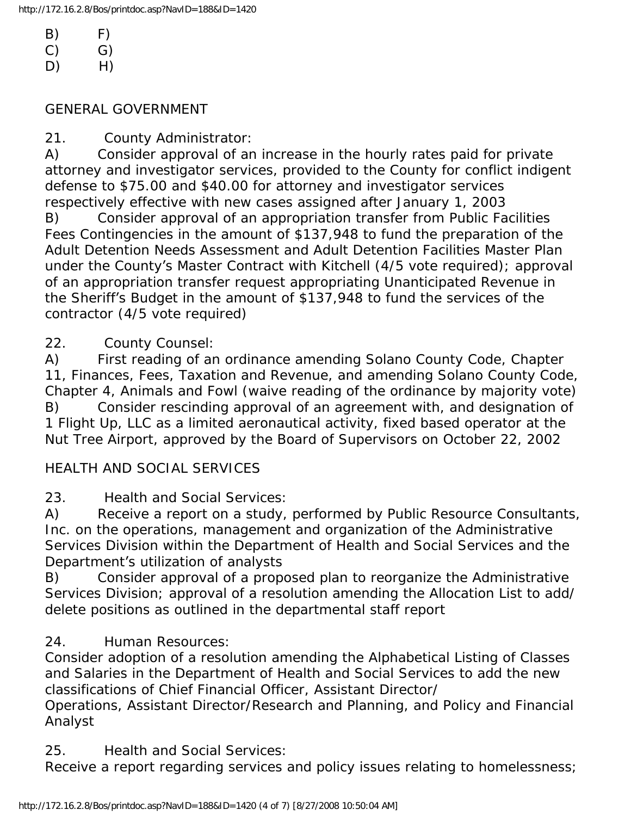B) F)

 $(C)$   $G)$ 

D) H)

## GENERAL GOVERNMENT

21. County Administrator:

A) Consider approval of an increase in the hourly rates paid for private attorney and investigator services, provided to the County for conflict indigent defense to \$75.00 and \$40.00 for attorney and investigator services respectively effective with new cases assigned after January 1, 2003 B) Consider approval of an appropriation transfer from Public Facilities Fees Contingencies in the amount of \$137,948 to fund the preparation of the Adult Detention Needs Assessment and Adult Detention Facilities Master Plan under the County's Master Contract with Kitchell (4/5 vote required); approval of an appropriation transfer request appropriating Unanticipated Revenue in the Sheriff's Budget in the amount of \$137,948 to fund the services of the contractor (4/5 vote required)

22. County Counsel:

A) First reading of an ordinance amending Solano County Code, Chapter 11, Finances, Fees, Taxation and Revenue, and amending Solano County Code, Chapter 4, Animals and Fowl (waive reading of the ordinance by majority vote) B) Consider rescinding approval of an agreement with, and designation of 1 Flight Up, LLC as a limited aeronautical activity, fixed based operator at the Nut Tree Airport, approved by the Board of Supervisors on October 22, 2002

## HEALTH AND SOCIAL SERVICES

23. Health and Social Services:

A) Receive a report on a study, performed by Public Resource Consultants, Inc. on the operations, management and organization of the Administrative Services Division within the Department of Health and Social Services and the Department's utilization of analysts

B) Consider approval of a proposed plan to reorganize the Administrative Services Division; approval of a resolution amending the Allocation List to add/ delete positions as outlined in the departmental staff report

## 24. Human Resources:

Consider adoption of a resolution amending the Alphabetical Listing of Classes and Salaries in the Department of Health and Social Services to add the new classifications of Chief Financial Officer, Assistant Director/

Operations, Assistant Director/Research and Planning, and Policy and Financial Analyst

25. Health and Social Services:

Receive a report regarding services and policy issues relating to homelessness;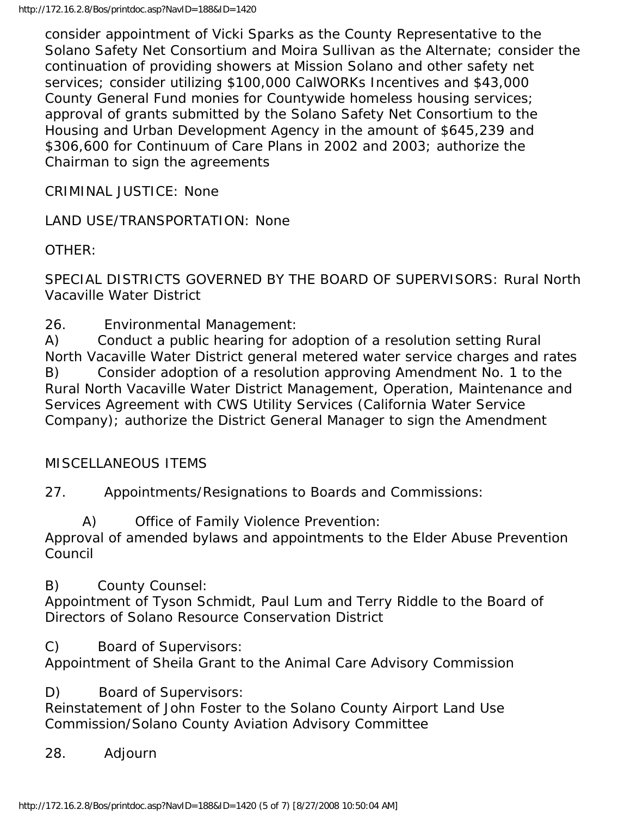consider appointment of Vicki Sparks as the County Representative to the Solano Safety Net Consortium and Moira Sullivan as the Alternate; consider the continuation of providing showers at Mission Solano and other safety net services; consider utilizing \$100,000 CalWORKs Incentives and \$43,000 County General Fund monies for Countywide homeless housing services; approval of grants submitted by the Solano Safety Net Consortium to the Housing and Urban Development Agency in the amount of \$645,239 and \$306,600 for Continuum of Care Plans in 2002 and 2003; authorize the Chairman to sign the agreements

CRIMINAL JUSTICE: None

LAND USE/TRANSPORTATION: None

OTHER:

SPECIAL DISTRICTS GOVERNED BY THE BOARD OF SUPERVISORS: Rural North Vacaville Water District

26. Environmental Management:

A) Conduct a public hearing for adoption of a resolution setting Rural North Vacaville Water District general metered water service charges and rates B) Consider adoption of a resolution approving Amendment No. 1 to the Rural North Vacaville Water District Management, Operation, Maintenance and Services Agreement with CWS Utility Services (California Water Service Company); authorize the District General Manager to sign the Amendment

#### MISCELLANEOUS ITEMS

27. Appointments/Resignations to Boards and Commissions:

A) Office of Family Violence Prevention:

Approval of amended bylaws and appointments to the Elder Abuse Prevention Council

B) County Counsel:

Appointment of Tyson Schmidt, Paul Lum and Terry Riddle to the Board of Directors of Solano Resource Conservation District

C) Board of Supervisors:

Appointment of Sheila Grant to the Animal Care Advisory Commission

D) Board of Supervisors:

Reinstatement of John Foster to the Solano County Airport Land Use Commission/Solano County Aviation Advisory Committee

28. Adjourn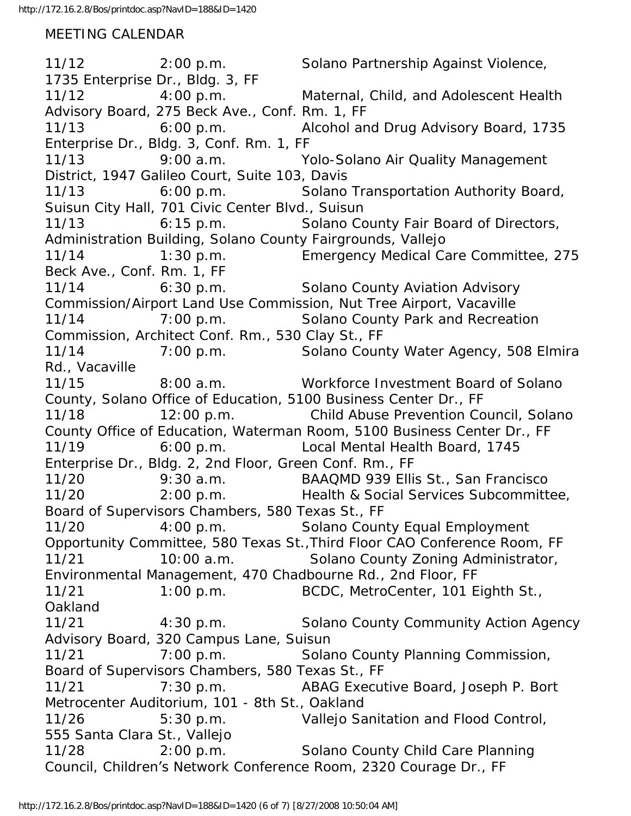MEETING CALENDAR

11/12 2:00 p.m. Solano Partnership Against Violence, 1735 Enterprise Dr., Bldg. 3, FF 11/12 4:00 p.m. Maternal, Child, and Adolescent Health Advisory Board, 275 Beck Ave., Conf. Rm. 1, FF 11/13 6:00 p.m. Alcohol and Drug Advisory Board, 1735 Enterprise Dr., Bldg. 3, Conf. Rm. 1, FF 11/13 9:00 a.m. Yolo-Solano Air Quality Management District, 1947 Galileo Court, Suite 103, Davis 11/13 6:00 p.m. Solano Transportation Authority Board, Suisun City Hall, 701 Civic Center Blvd., Suisun 11/13 6:15 p.m. Solano County Fair Board of Directors, Administration Building, Solano County Fairgrounds, Vallejo 11/14 1:30 p.m. Emergency Medical Care Committee, 275 Beck Ave., Conf. Rm. 1, FF 11/14 6:30 p.m. Solano County Aviation Advisory Commission/Airport Land Use Commission, Nut Tree Airport, Vacaville 11/14 7:00 p.m. Solano County Park and Recreation Commission, Architect Conf. Rm., 530 Clay St., FF 11/14 7:00 p.m. Solano County Water Agency, 508 Elmira Rd., Vacaville 11/15 8:00 a.m. Workforce Investment Board of Solano County, Solano Office of Education, 5100 Business Center Dr., FF 11/18 12:00 p.m. Child Abuse Prevention Council, Solano County Office of Education, Waterman Room, 5100 Business Center Dr., FF 11/19 6:00 p.m. Local Mental Health Board, 1745 Enterprise Dr., Bldg. 2, 2nd Floor, Green Conf. Rm., FF 11/20 9:30 a.m. BAAQMD 939 Ellis St., San Francisco 11/20 2:00 p.m. Health & Social Services Subcommittee, Board of Supervisors Chambers, 580 Texas St., FF 11/20 4:00 p.m. Solano County Equal Employment Opportunity Committee, 580 Texas St.,Third Floor CAO Conference Room, FF 11/21 10:00 a.m. Solano County Zoning Administrator, Environmental Management, 470 Chadbourne Rd., 2nd Floor, FF 11/21 1:00 p.m. BCDC, MetroCenter, 101 Eighth St., Oakland 11/21 4:30 p.m. Solano County Community Action Agency Advisory Board, 320 Campus Lane, Suisun 11/21 7:00 p.m. Solano County Planning Commission, Board of Supervisors Chambers, 580 Texas St., FF 11/21 7:30 p.m. ABAG Executive Board, Joseph P. Bort Metrocenter Auditorium, 101 - 8th St., Oakland 11/26 5:30 p.m. Vallejo Sanitation and Flood Control, 555 Santa Clara St., Vallejo 11/28 2:00 p.m. Solano County Child Care Planning Council, Children's Network Conference Room, 2320 Courage Dr., FF